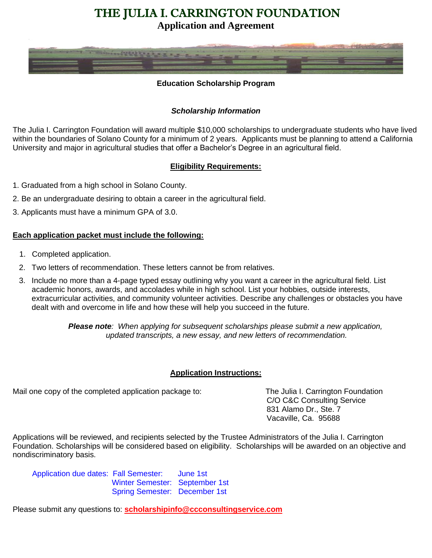# THE JULIA I. CARRINGTON FOUNDATION

**Application and Agreement**



### **Education Scholarship Program**

### *Scholarship Information*

The Julia I. Carrington Foundation will award multiple \$10,000 scholarships to undergraduate students who have lived within the boundaries of Solano County for a minimum of 2 years. Applicants must be planning to attend a California University and major in agricultural studies that offer a Bachelor's Degree in an agricultural field.

### **Eligibility Requirements:**

- 1. Graduated from a high school in Solano County.
- 2. Be an undergraduate desiring to obtain a career in the agricultural field.
- 3. Applicants must have a minimum GPA of 3.0.

### **Each application packet must include the following:**

- 1. Completed application.
- 2. Two letters of recommendation. These letters cannot be from relatives.
- 3. Include no more than a 4-page typed essay outlining why you want a career in the agricultural field. List academic honors, awards, and accolades while in high school. List your hobbies, outside interests, extracurricular activities, and community volunteer activities. Describe any challenges or obstacles you have dealt with and overcome in life and how these will help you succeed in the future.

*Please note: When applying for subsequent scholarships please submit a new application, updated transcripts, a new essay, and new letters of recommendation.*

#### **Application Instructions:**

Mail one copy of the completed application package to: The Julia I. Carrington Foundation

C/O C&C Consulting Service 831 Alamo Dr., Ste. 7 Vacaville, Ca. 95688

Applications will be reviewed, and recipients selected by the Trustee Administrators of the Julia I. Carrington Foundation. Scholarships will be considered based on eligibility. Scholarships will be awarded on an objective and nondiscriminatory basis.

 Application due dates: Fall Semester: June 1st Winter Semester: September 1st Spring Semester: December 1st

Please submit any questions to: **[scholarshipinfo@ccconsultingservice.com](mailto:scholarshipinfo@ccconsultingservice.com)**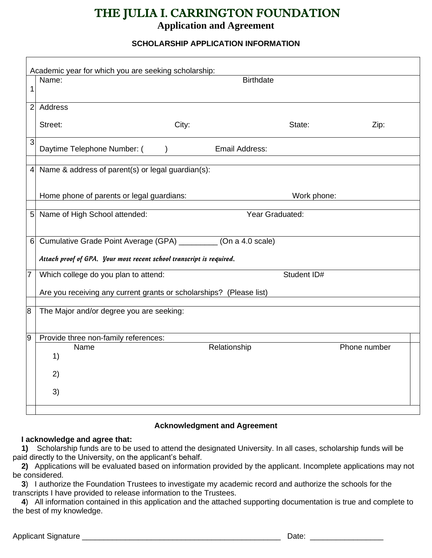# THE JULIA I. CARRINGTON FOUNDATION

# **Application and Agreement**

## **SCHOLARSHIP APPLICATION INFORMATION**

| Academic year for which you are seeking scholarship: |                                                                                                                                         |                       |             |              |  |  |
|------------------------------------------------------|-----------------------------------------------------------------------------------------------------------------------------------------|-----------------------|-------------|--------------|--|--|
| 1                                                    | Name:                                                                                                                                   | <b>Birthdate</b>      |             |              |  |  |
| $\overline{2}$                                       | Address                                                                                                                                 |                       |             |              |  |  |
|                                                      | City:<br>Street:                                                                                                                        |                       | State:      | Zip:         |  |  |
| 3                                                    | Daytime Telephone Number: (                                                                                                             | <b>Email Address:</b> |             |              |  |  |
| $\overline{4}$                                       | Name & address of parent(s) or legal guardian(s):                                                                                       |                       |             |              |  |  |
|                                                      | Home phone of parents or legal guardians:                                                                                               |                       | Work phone: |              |  |  |
| 5                                                    | Name of High School attended:                                                                                                           | Year Graduated:       |             |              |  |  |
| 6                                                    | Cumulative Grade Point Average (GPA) _________ (On a 4.0 scale)<br>Attach proof of GPA. Your most recent school transcript is required. |                       |             |              |  |  |
| 7                                                    | Which college do you plan to attend:                                                                                                    |                       | Student ID# |              |  |  |
|                                                      | Are you receiving any current grants or scholarships? (Please list)                                                                     |                       |             |              |  |  |
| 8                                                    | The Major and/or degree you are seeking:                                                                                                |                       |             |              |  |  |
| 9                                                    | Provide three non-family references:                                                                                                    |                       |             |              |  |  |
|                                                      | Name<br>1)                                                                                                                              | Relationship          |             | Phone number |  |  |
|                                                      | 2)                                                                                                                                      |                       |             |              |  |  |
|                                                      | 3)                                                                                                                                      |                       |             |              |  |  |
|                                                      |                                                                                                                                         |                       |             |              |  |  |

## **Acknowledgment and Agreement**

### **I acknowledge and agree that:**

 **1)** Scholarship funds are to be used to attend the designated University. In all cases, scholarship funds will be paid directly to the University, on the applicant's behalf.

 **2)** Applications will be evaluated based on information provided by the applicant. Incomplete applications may not be considered.

 **3**) I authorize the Foundation Trustees to investigate my academic record and authorize the schools for the transcripts I have provided to release information to the Trustees.

 **4**) All information contained in this application and the attached supporting documentation is true and complete to the best of my knowledge.